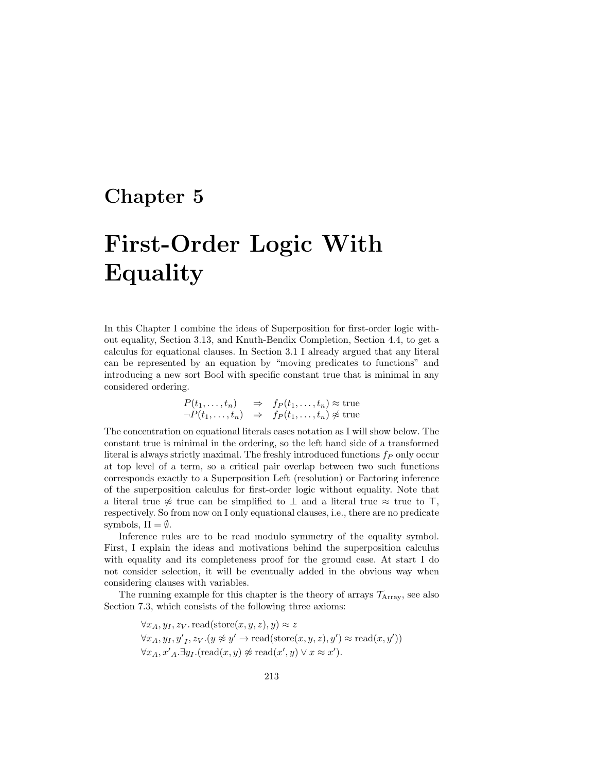## Chapter 5

# First-Order Logic With Equality

In this Chapter I combine the ideas of Superposition for first-order logic without equality, Section 3.13, and Knuth-Bendix Completion, Section 4.4, to get a calculus for equational clauses. In Section 3.1 I already argued that any literal can be represented by an equation by "moving predicates to functions" and introducing a new sort Bool with specific constant true that is minimal in any considered ordering.

$$
P(t_1, ..., t_n) \Rightarrow f_P(t_1, ..., t_n) \approx \text{true}
$$
  
\n
$$
\neg P(t_1, ..., t_n) \Rightarrow f_P(t_1, ..., t_n) \not\approx \text{true}
$$

The concentration on equational literals eases notation as I will show below. The constant true is minimal in the ordering, so the left hand side of a transformed literal is always strictly maximal. The freshly introduced functions  $f_P$  only occur at top level of a term, so a critical pair overlap between two such functions corresponds exactly to a Superposition Left (resolution) or Factoring inference of the superposition calculus for first-order logic without equality. Note that a literal true  $\approx$  true can be simplified to  $\perp$  and a literal true  $\approx$  true to  $\top$ , respectively. So from now on I only equational clauses, i.e., there are no predicate symbols,  $\Pi = \emptyset$ .

Inference rules are to be read modulo symmetry of the equality symbol. First, I explain the ideas and motivations behind the superposition calculus with equality and its completeness proof for the ground case. At start I do not consider selection, it will be eventually added in the obvious way when considering clauses with variables.

The running example for this chapter is the theory of arrays  $\mathcal{T}_{\text{Array}}$ , see also Section 7.3, which consists of the following three axioms:

> $\forall x_A, y_I, z_V$  read(store $(x, y, z), y) \approx z$  $\forall x_A, y_I, y'_I, z_V. (y \not\approx y' \rightarrow \text{read}(\text{store}(x, y, z), y') \approx \text{read}(x, y'))$  $\forall x_A, x'_A \exists y_I. (read(x, y) \not\approx read(x', y) \lor x \approx x').$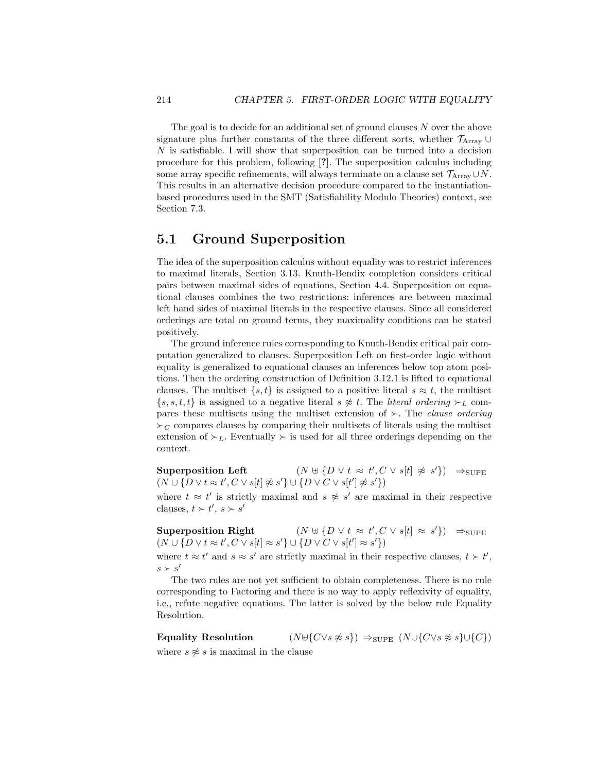The goal is to decide for an additional set of ground clauses  $N$  over the above signature plus further constants of the three different sorts, whether  $\mathcal{T}_{Array}$  $N$  is satisfiable. I will show that superposition can be turned into a decision procedure for this problem, following [?]. The superposition calculus including some array specific refinements, will always terminate on a clause set  $\mathcal{T}_{Array} \cup N$ . This results in an alternative decision procedure compared to the instantiationbased procedures used in the SMT (Satisfiability Modulo Theories) context, see Section 7.3.

#### 5.1 Ground Superposition

The idea of the superposition calculus without equality was to restrict inferences to maximal literals, Section 3.13. Knuth-Bendix completion considers critical pairs between maximal sides of equations, Section 4.4. Superposition on equational clauses combines the two restrictions: inferences are between maximal left hand sides of maximal literals in the respective clauses. Since all considered orderings are total on ground terms, they maximality conditions can be stated positively.

The ground inference rules corresponding to Knuth-Bendix critical pair computation generalized to clauses. Superposition Left on first-order logic without equality is generalized to equational clauses an inferences below top atom positions. Then the ordering construction of Definition 3.12.1 is lifted to equational clauses. The multiset  $\{s, t\}$  is assigned to a positive literal  $s \approx t$ , the multiset  $\{s, s, t, t\}$  is assigned to a negative literal  $s \not\approx t$ . The *literal ordering*  $\succ_L$  compares these multisets using the multiset extension of  $\succ$ . The *clause ordering*  $\succ_C$  compares clauses by comparing their multisets of literals using the multiset extension of  $\succ_L$ . Eventually  $\succ$  is used for all three orderings depending on the context.

Superposition Left  $(N \oplus \{D \lor t \approx t', C \lor s[t] \not\approx s'\}) \Rightarrow_{\text{SUPE}}$  $(N \cup \{D \vee t \approx t', C \vee s[t] \not\approx s'\} \cup \{D \vee C \vee s[t'] \not\approx s'\})$ 

where  $t \approx t'$  is strictly maximal and  $s \not\approx s'$  are maximal in their respective clauses,  $t > t'$ ,  $s > s'$ 

Superposition Right  $(N \oplus \{D \lor t \approx t', C \lor s[t] \approx s'\}) \Rightarrow_{\text{SUPE}}$  $(N \cup \{D \vee t \approx t', C \vee s[t] \approx s'\} \cup \{D \vee C \vee s[t'] \approx s'\})$ 

where  $t \approx t'$  and  $s \approx s'$  are strictly maximal in their respective clauses,  $t \succ t'$ ,  $s \succ s'$ 

The two rules are not yet sufficient to obtain completeness. There is no rule corresponding to Factoring and there is no way to apply reflexivity of equality, i.e., refute negative equations. The latter is solved by the below rule Equality Resolution.

Equality Resolution  $(N \oplus \{C \lor s \not\approx s\}) \Rightarrow_{\text{SUPE}} (N \cup \{C \lor s \not\approx s\} \cup \{C\})$ where  $s \not\approx s$  is maximal in the clause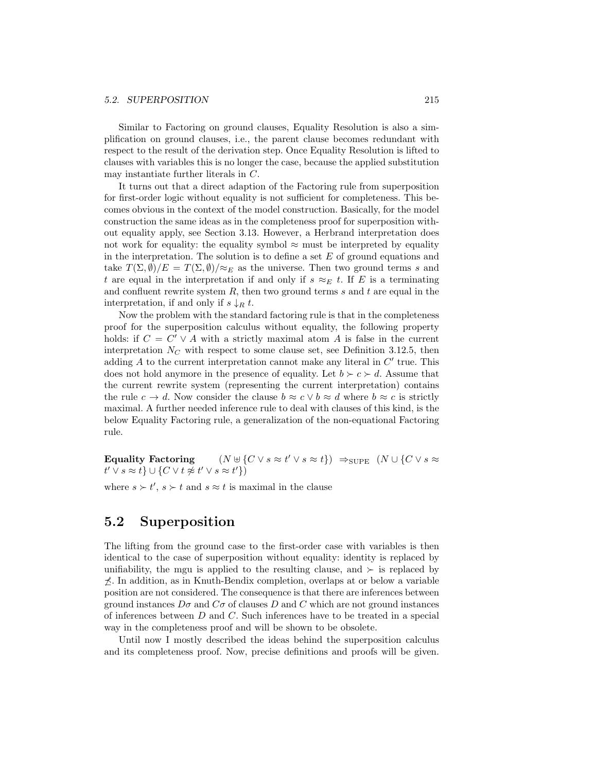Similar to Factoring on ground clauses, Equality Resolution is also a simplification on ground clauses, i.e., the parent clause becomes redundant with respect to the result of the derivation step. Once Equality Resolution is lifted to clauses with variables this is no longer the case, because the applied substitution may instantiate further literals in C.

It turns out that a direct adaption of the Factoring rule from superposition for first-order logic without equality is not sufficient for completeness. This becomes obvious in the context of the model construction. Basically, for the model construction the same ideas as in the completeness proof for superposition without equality apply, see Section 3.13. However, a Herbrand interpretation does not work for equality: the equality symbol  $\approx$  must be interpreted by equality in the interpretation. The solution is to define a set  $E$  of ground equations and take  $T(\Sigma, \emptyset)/E = T(\Sigma, \emptyset)/\approx_E$  as the universe. Then two ground terms s and t are equal in the interpretation if and only if  $s \approx_E t$ . If E is a terminating and confluent rewrite system  $R$ , then two ground terms  $s$  and  $t$  are equal in the interpretation, if and only if  $s \downarrow_R t$ .

Now the problem with the standard factoring rule is that in the completeness proof for the superposition calculus without equality, the following property holds: if  $C = C' \vee A$  with a strictly maximal atom A is false in the current interpretation  $N_C$  with respect to some clause set, see Definition 3.12.5, then adding  $A$  to the current interpretation cannot make any literal in  $C'$  true. This does not hold anymore in the presence of equality. Let  $b \succ c \succ d$ . Assume that the current rewrite system (representing the current interpretation) contains the rule  $c \to d$ . Now consider the clause  $b \approx c \vee b \approx d$  where  $b \approx c$  is strictly maximal. A further needed inference rule to deal with clauses of this kind, is the below Equality Factoring rule, a generalization of the non-equational Factoring rule.

Equality Factoring  $(N \oplus \{C \vee s \approx t' \vee s \approx t\}) \Rightarrow$ SUPE  $(N \cup \{C \vee s \approx t\})$  $t' \vee s \approx t \} \cup \{ C \vee t \not\approx t' \vee s \approx t' \})$ 

where  $s \succ t'$ ,  $s \succ t$  and  $s \approx t$  is maximal in the clause

### 5.2 Superposition

The lifting from the ground case to the first-order case with variables is then identical to the case of superposition without equality: identity is replaced by unifiability, the mgu is applied to the resulting clause, and  $\succ$  is replaced by  $\hat{\chi}$ . In addition, as in Knuth-Bendix completion, overlaps at or below a variable position are not considered. The consequence is that there are inferences between ground instances  $D\sigma$  and  $C\sigma$  of clauses D and C which are not ground instances of inferences between  $D$  and  $C$ . Such inferences have to be treated in a special way in the completeness proof and will be shown to be obsolete.

Until now I mostly described the ideas behind the superposition calculus and its completeness proof. Now, precise definitions and proofs will be given.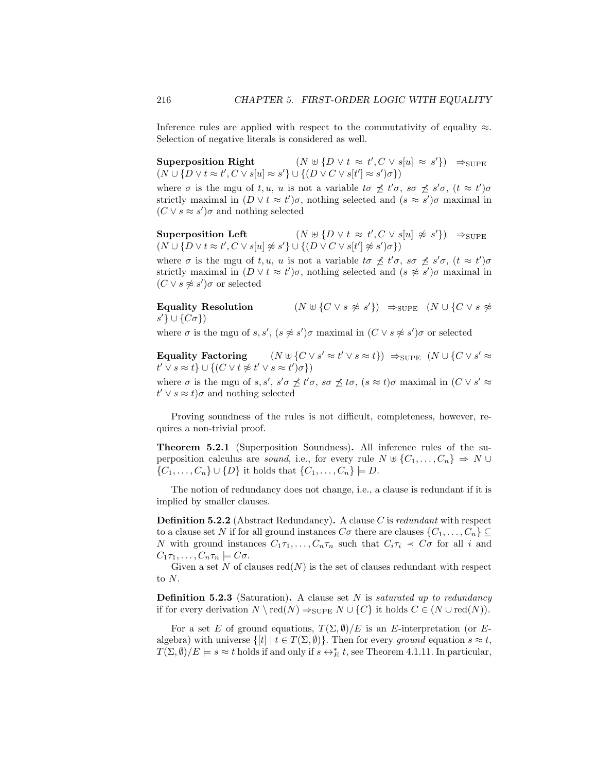Inference rules are applied with respect to the commutativity of equality  $\approx$ . Selection of negative literals is considered as well.

Superposition Right  $\langle C \vee s[u] \approx s' \rangle \Rightarrow$ SUPE  $(N \cup \{D \vee t \approx t', C \vee s[u] \approx s'\} \cup \{(D \vee C \vee s[t'] \approx s')\sigma\})$ 

where  $\sigma$  is the mgu of t, u, u is not a variable to  $\not\preceq t'\sigma$ , so  $\not\preceq s'\sigma$ ,  $(t \approx t')\sigma$ strictly maximal in  $(D \vee t \approx t')\sigma$ , nothing selected and  $(s \approx s')\sigma$  maximal in  $(C \vee s \approx s')\sigma$  and nothing selected

Superposition Left  $% \left( \mathcal{A}\right)$  $\langle C \vee s[u] \not\approx s' \rangle$   $\Rightarrow_{\text{SUPE}}$  $(N \cup \{D \vee t \approx t', C \vee s[u] \not\approx s'\} \cup \{(D \vee C \vee s[t'] \not\approx s')\sigma\})$ 

where  $\sigma$  is the mgu of t, u, u is not a variable to  $\not\preceq t'\sigma$ , so  $\not\preceq s'\sigma$ ,  $(t \approx t')\sigma$ strictly maximal in  $(D \vee t \approx t')\sigma$ , nothing selected and  $(s \not\approx s')\sigma$  maximal in  $(C \vee s \not\approx s')\sigma$  or selected

Equality Resolution  $(N \oplus \{C \vee s \not\approx s'\}) \Rightarrow_{\text{SUPE}} (N \cup \{C \vee s \not\approx s'\})$  $s' \} \cup \{C\sigma\})$ 

where  $\sigma$  is the mgu of s, s',  $(s \not\approx s')\sigma$  maximal in  $(C \vee s \not\approx s')\sigma$  or selected

Equality Factoring  $(y \approx t' \vee s \approx t)$   $\Rightarrow$   $\text{supp}$   $(N \cup \{C \vee s' \approx t\})$  $t' \vee s \approx t \} \cup \{ (C \vee t \not\approx t' \vee s \approx t') \sigma \})$ 

where  $\sigma$  is the mgu of  $s, s', s' \sigma \nleq t' \sigma$ ,  $s \sigma \nleq t \sigma$ ,  $(s \approx t) \sigma$  maximal in  $(C \vee s' \approx t')$  $t' \vee s \approx t$ ) $\sigma$  and nothing selected

Proving soundness of the rules is not difficult, completeness, however, requires a non-trivial proof.

Theorem 5.2.1 (Superposition Soundness). All inference rules of the superposition calculus are *sound*, i.e., for every rule  $N \oplus \{C_1, \ldots, C_n\} \Rightarrow N \cup$  $\{C_1, ..., C_n\} \cup \{D\}$  it holds that  $\{C_1, ..., C_n\} \models D$ .

The notion of redundancy does not change, i.e., a clause is redundant if it is implied by smaller clauses.

**Definition 5.2.2** (Abstract Redundancy). A clause C is redundant with respect to a clause set N if for all ground instances  $C\sigma$  there are clauses  $\{C_1, \ldots, C_n\} \subseteq$ N with ground instances  $C_1\tau_1, \ldots, C_n\tau_n$  such that  $C_i\tau_i \prec C\sigma$  for all i and  $C_1\tau_1,\ldots,C_n\tau_n\models C\sigma.$ 

Given a set N of clauses  $red(N)$  is the set of clauses redundant with respect to  $N$ .

**Definition 5.2.3** (Saturation). A clause set  $N$  is *saturated up to redundancy* if for every derivation  $N \setminus \text{red}(N) \Rightarrow_{\text{SUPE}} N \cup \{C\}$  it holds  $C \in (N \cup \text{red}(N)).$ 

For a set E of ground equations,  $T(\Sigma, \emptyset)/E$  is an E-interpretation (or Ealgebra) with universe  $\{[t] | t \in T(\Sigma, \emptyset)\}$ . Then for every ground equation  $s \approx t$ ,  $T(\Sigma, \emptyset)/E \models s \approx t$  holds if and only if  $s \leftrightarrow^*_{E} t$ , see Theorem 4.1.11. In particular,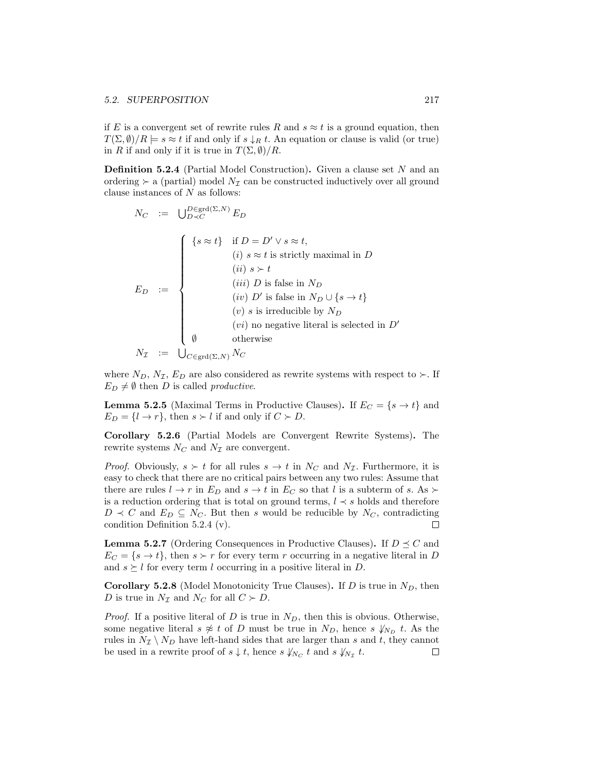if E is a convergent set of rewrite rules R and  $s \approx t$  is a ground equation, then  $T(\Sigma, \emptyset)/R \models s \approx t$  if and only if  $s \downarrow_R t$ . An equation or clause is valid (or true) in R if and only if it is true in  $T(\Sigma, \emptyset)/R$ .

**Definition 5.2.4** (Partial Model Construction). Given a clause set  $N$  and an ordering  $\succ$  a (partial) model  $N_{\mathcal{I}}$  can be constructed inductively over all ground clause instances of  $N$  as follows:

$$
N_C := \bigcup_{D \prec C}^{D \in \text{grd}(\Sigma, N)} E_D
$$
\n
$$
E_D := \begin{cases}\n\{s \approx t\} & \text{if } D = D' \lor s \approx t, \\
(i) & s \approx t \text{ is strictly maximal in } D \\
(ii) & s \succ t \\
(iii) & D \text{ is false in } N_D\n\end{cases}
$$
\n
$$
E_D := \begin{cases}\n(iv) & D' \text{ is false in } N_D \cup \{s \rightarrow t\} \\
(v) & s \text{ is irreducible by } N_D \\
(vi) & \text{no negative literal is selected in } D' \\
\emptyset & \text{otherwise}\n\end{cases}
$$
\n
$$
N_{\mathcal{I}} := \bigcup_{C \in \text{grd}(\Sigma, N)} N_C
$$

where  $N_D$ ,  $N_{\mathcal{I}}$ ,  $E_D$  are also considered as rewrite systems with respect to  $\succ$ . If  $E_D \neq \emptyset$  then D is called productive.

**Lemma 5.2.5** (Maximal Terms in Productive Clauses). If  $E_C = \{s \rightarrow t\}$  and  $E_D = \{l \rightarrow r\}$ , then  $s \succ l$  if and only if  $C \succ D$ .

Corollary 5.2.6 (Partial Models are Convergent Rewrite Systems). The rewrite systems  $N_C$  and  $N<sub>\mathcal{I}</sub>$  are convergent.

*Proof.* Obviously,  $s > t$  for all rules  $s \to t$  in  $N_C$  and  $N<sub>I</sub>$ . Furthermore, it is easy to check that there are no critical pairs between any two rules: Assume that there are rules  $l \to r$  in  $E_D$  and  $s \to t$  in  $E_C$  so that l is a subterm of s. As  $\succ$ is a reduction ordering that is total on ground terms,  $l \prec s$  holds and therefore  $D \prec C$  and  $E_D \subseteq N_C$ . But then s would be reducible by  $N_C$ , contradicting condition Definition 5.2.4 (v).  $\Box$ 

**Lemma 5.2.7** (Ordering Consequences in Productive Clauses). If  $D \preceq C$  and  $E_C = \{s \to t\}$ , then  $s \succ r$  for every term r occurring in a negative literal in D and  $s \geq l$  for every term l occurring in a positive literal in D.

**Corollary 5.2.8** (Model Monotonicity True Clauses). If  $D$  is true in  $N_D$ , then D is true in  $N_{\mathcal{I}}$  and  $N_C$  for all  $C \succ D$ .

*Proof.* If a positive literal of D is true in  $N_D$ , then this is obvious. Otherwise, some negative literal  $s \not\approx t$  of D must be true in  $N_D$ , hence  $s \not\downarrow_{N_D} t$ . As the rules in  $N_{\mathcal{I}} \setminus N_D$  have left-hand sides that are larger than s and t, they cannot be used in a rewrite proof of  $s \downarrow t$ , hence  $s \downarrow_{N_C} t$  and  $s \downarrow_{N_{\mathcal{I}}} t$ .  $\Box$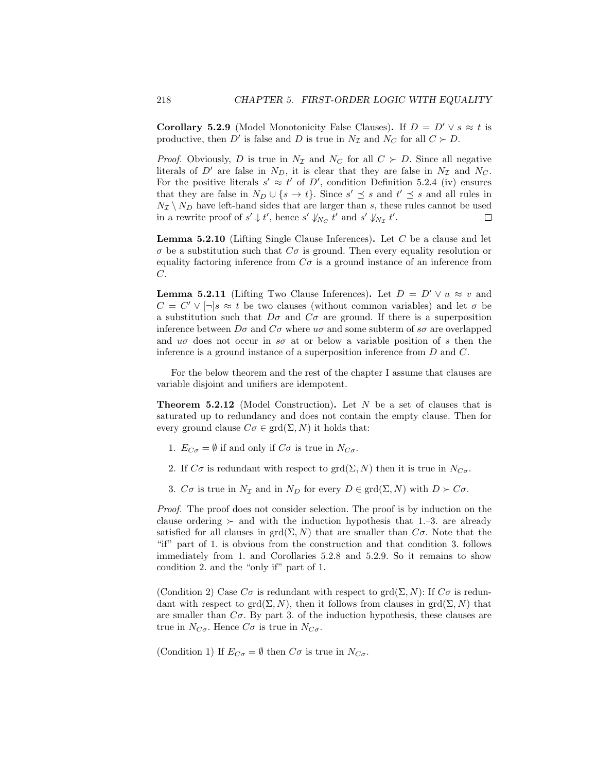**Corollary 5.2.9** (Model Monotonicity False Clauses). If  $D = D' \vee s \approx t$  is productive, then D' is false and D is true in  $N_{\mathcal{I}}$  and  $N_C$  for all  $C \succ D$ .

*Proof.* Obviously, D is true in  $N<sub>\mathcal{I}</sub>$  and  $N<sub>C</sub>$  for all  $C \succ D$ . Since all negative literals of  $D'$  are false in  $N_D$ , it is clear that they are false in  $N<sub>\mathcal{I}</sub>$  and  $N_C$ . For the positive literals  $s' \approx t'$  of D', condition Definition 5.2.4 (iv) ensures that they are false in  $N_D \cup \{s \to t\}$ . Since  $s' \preceq s$  and  $t' \preceq s$  and all rules in  $N_{\mathcal{I}} \setminus N_{D}$  have left-hand sides that are larger than  $s,$  these rules cannot be used in a rewrite proof of  $s' \downarrow t'$ , hence  $s' \downarrow_{N_C} t'$  and  $s' \downarrow_{N_{\mathcal{I}}} t'$ .  $\Box$ 

**Lemma 5.2.10** (Lifting Single Clause Inferences). Let  $C$  be a clause and let  $\sigma$  be a substitution such that  $C\sigma$  is ground. Then every equality resolution or equality factoring inference from  $C\sigma$  is a ground instance of an inference from C.

**Lemma 5.2.11** (Lifting Two Clause Inferences). Let  $D = D' \vee u \approx v$  and  $C = C' \vee [\neg] s \approx t$  be two clauses (without common variables) and let  $\sigma$  be a substitution such that  $D\sigma$  and  $C\sigma$  are ground. If there is a superposition inference between  $D\sigma$  and  $C\sigma$  where  $u\sigma$  and some subterm of  $s\sigma$  are overlapped and  $u\sigma$  does not occur in  $s\sigma$  at or below a variable position of s then the inference is a ground instance of a superposition inference from D and C.

For the below theorem and the rest of the chapter I assume that clauses are variable disjoint and unifiers are idempotent.

**Theorem 5.2.12** (Model Construction). Let  $N$  be a set of clauses that is saturated up to redundancy and does not contain the empty clause. Then for every ground clause  $C\sigma \in \text{grd}(\Sigma, N)$  it holds that:

- 1.  $E_{C\sigma} = \emptyset$  if and only if  $C\sigma$  is true in  $N_{C\sigma}$ .
- 2. If  $C\sigma$  is redundant with respect to grd( $\Sigma$ , N) then it is true in  $N_{C\sigma}$ .
- 3.  $C\sigma$  is true in  $N_{\mathcal{I}}$  and in  $N_D$  for every  $D \in \text{grd}(\Sigma, N)$  with  $D \succ C\sigma$ .

Proof. The proof does not consider selection. The proof is by induction on the clause ordering  $\succ$  and with the induction hypothesis that 1.–3. are already satisfied for all clauses in  $\text{grd}(\Sigma, N)$  that are smaller than  $C\sigma$ . Note that the "if" part of 1. is obvious from the construction and that condition 3. follows immediately from 1. and Corollaries 5.2.8 and 5.2.9. So it remains to show condition 2. and the "only if" part of 1.

(Condition 2) Case  $C\sigma$  is redundant with respect to grd $(\Sigma, N)$ : If  $C\sigma$  is redundant with respect to grd $(\Sigma, N)$ , then it follows from clauses in grd $(\Sigma, N)$  that are smaller than  $C\sigma$ . By part 3. of the induction hypothesis, these clauses are true in  $N_{C\sigma}$ . Hence  $C\sigma$  is true in  $N_{C\sigma}$ .

(Condition 1) If  $E_{C\sigma} = \emptyset$  then  $C\sigma$  is true in  $N_{C\sigma}$ .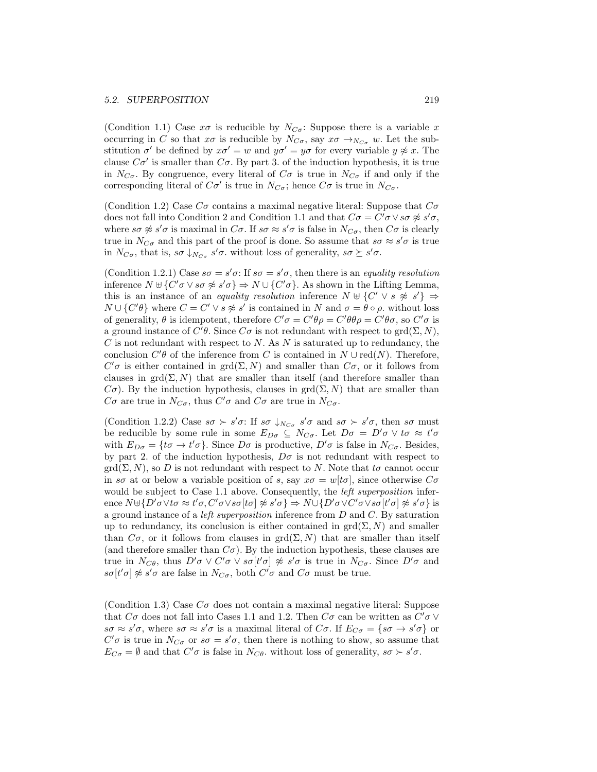(Condition 1.1) Case  $x\sigma$  is reducible by  $N_{C_{\sigma}}$ : Suppose there is a variable x occurring in C so that  $x\sigma$  is reducible by  $N_{C\sigma}$ , say  $x\sigma \rightarrow_{N_{C\sigma}} w$ . Let the substitution  $\sigma'$  be defined by  $x\sigma' = w$  and  $y\sigma' = y\sigma$  for every variable  $y \not\approx x$ . The clause  $C\sigma'$  is smaller than  $C\sigma$ . By part 3. of the induction hypothesis, it is true in  $N_{C_{\sigma}}$ . By congruence, every literal of  $C_{\sigma}$  is true in  $N_{C_{\sigma}}$  if and only if the corresponding literal of  $C\sigma'$  is true in  $N_{C\sigma}$ ; hence  $C\sigma$  is true in  $N_{C\sigma}$ .

(Condition 1.2) Case  $C\sigma$  contains a maximal negative literal: Suppose that  $C\sigma$ does not fall into Condition 2 and Condition 1.1 and that  $C\sigma = C'\sigma \vee s\sigma \not\approx s'\sigma$ , where  $s\sigma \not\approx s'\sigma$  is maximal in  $C\sigma$ . If  $s\sigma \approx s'\sigma$  is false in  $N_{C\sigma}$ , then  $C\sigma$  is clearly true in  $N_{C\sigma}$  and this part of the proof is done. So assume that  $s\sigma \approx s'\sigma$  is true in  $N_{C\sigma}$ , that is,  $s\sigma \downarrow_{N_{C\sigma}} s'\sigma$ , without loss of generality,  $s\sigma \succeq s'\sigma$ .

(Condition 1.2.1) Case  $s\sigma = s'\sigma$ : If  $s\sigma = s'\sigma$ , then there is an equality resolution inference  $N \uplus \{C'\sigma \vee s\sigma \not\approx s'\sigma\} \Rightarrow N \cup \{C'\sigma\}$ . As shown in the Lifting Lemma, this is an instance of an *equality resolution* inference  $N \oplus \{C' \vee s \not\approx s'\} \Rightarrow$  $N \cup \{C'\theta\}$  where  $C = C' \vee s \not\approx s'$  is contained in N and  $\sigma = \theta \circ \rho$ , without loss of generality,  $\theta$  is idempotent, therefore  $C'\sigma = C'\theta\rho = C'\theta\theta\rho = C'\theta\sigma$ , so  $C'\sigma$  is a ground instance of  $C'\theta$ . Since  $C\sigma$  is not redundant with respect to  $\text{grd}(\Sigma, N)$ ,  $C$  is not redundant with respect to  $N$ . As  $N$  is saturated up to redundancy, the conclusion  $C'\theta$  of the inference from C is contained in  $N \cup \text{red}(N)$ . Therefore,  $C'$ σ is either contained in grd(Σ, N) and smaller than  $C$ σ, or it follows from clauses in  $\text{grd}(\Sigma, N)$  that are smaller than itself (and therefore smaller than  $C\sigma$ ). By the induction hypothesis, clauses in grd $(\Sigma, N)$  that are smaller than  $C\sigma$  are true in  $N_{C\sigma}$ , thus  $C'\sigma$  and  $C\sigma$  are true in  $N_{C\sigma}$ .

(Condition 1.2.2) Case  $s\sigma \succ s'\sigma$ : If  $s\sigma \downarrow_{N_{C\sigma}} s'\sigma$  and  $s\sigma \succ s'\sigma$ , then  $s\sigma$  must be reducible by some rule in some  $E_{D\sigma} \subseteq N_{C\sigma}$ . Let  $D\sigma = D'\sigma \vee \sigma \approx t'\sigma$ with  $E_{D\sigma} = \{t\sigma \to t'\sigma\}$ . Since  $D\sigma$  is productive,  $D'\sigma$  is false in  $N_{C\sigma}$ . Besides, by part 2. of the induction hypothesis,  $D\sigma$  is not redundant with respect to  $\text{grd}(\Sigma, N)$ , so D is not redundant with respect to N. Note that  $t\sigma$  cannot occur in s $\sigma$  at or below a variable position of s, say  $x\sigma = w[t\sigma]$ , since otherwise  $C\sigma$ would be subject to Case 1.1 above. Consequently, the *left superposition* inference  $N \oplus \{D'\sigma \lor t\sigma \approx t'\sigma, C'\sigma \lor s\sigma[t\sigma] \not\approx s'\sigma\} \Rightarrow N \cup \{D'\sigma \lor C'\sigma \lor s\sigma[t'\sigma] \not\approx s'\sigma\}$  is a ground instance of a left superposition inference from D and C. By saturation up to redundancy, its conclusion is either contained in  $\text{grd}(\Sigma, N)$  and smaller than  $C\sigma$ , or it follows from clauses in grd $(\Sigma, N)$  that are smaller than itself (and therefore smaller than  $C\sigma$ ). By the induction hypothesis, these clauses are true in  $N_{C\theta}$ , thus  $D'\sigma \vee C'\sigma \vee s\sigma[t'\sigma] \not\approx s'\sigma$  is true in  $N_{C\sigma}$ . Since  $D'\sigma$  and  $s\sigma[t'\sigma] \not\approx s'\sigma$  are false in  $N_{C\sigma}$ , both  $C'\sigma$  and  $C\sigma$  must be true.

(Condition 1.3) Case  $C\sigma$  does not contain a maximal negative literal: Suppose that  $C\sigma$  does not fall into Cases 1.1 and 1.2. Then  $C\sigma$  can be written as  $C'\sigma$   $\vee$  $s\sigma \approx s'\sigma$ , where  $s\sigma \approx s'\sigma$  is a maximal literal of  $C\sigma$ . If  $E_{C\sigma} = \{s\sigma \to s'\sigma\}$  or  $C'\sigma$  is true in  $N_{C\sigma}$  or  $s\sigma = s'\sigma$ , then there is nothing to show, so assume that  $E_{C\sigma} = \emptyset$  and that  $C'\sigma$  is false in  $N_{C\theta}$ , without loss of generality,  $s\sigma \succ s'\sigma$ .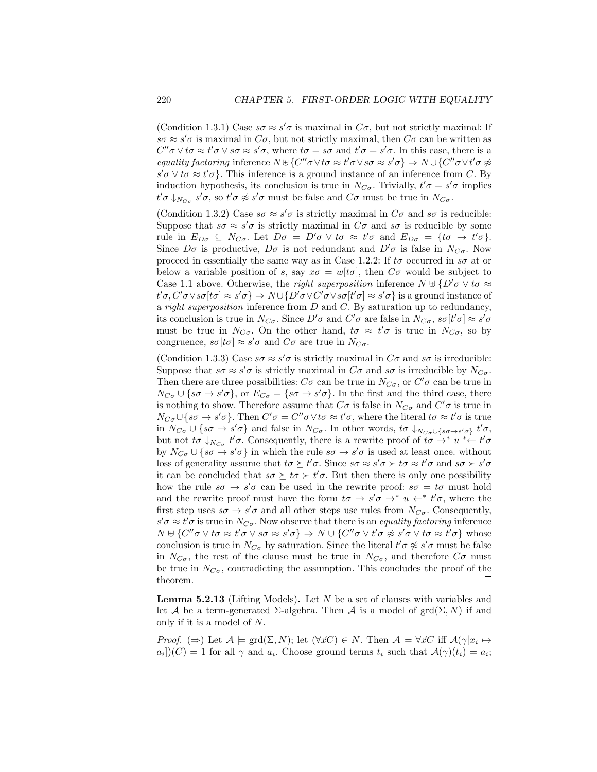(Condition 1.3.1) Case  $s\sigma \approx s'\sigma$  is maximal in  $C\sigma$ , but not strictly maximal: If  $s\sigma \approx s'\sigma$  is maximal in  $C\sigma$ , but not strictly maximal, then  $C\sigma$  can be written as  $C''\sigma \vee t\sigma \approx t'\sigma \vee s\sigma \approx s'\sigma$ , where  $t\sigma = s\sigma$  and  $t'\sigma = s'\sigma$ . In this case, there is a equality factoring inference  $N \oplus \{C''\sigma \lor t\sigma \approx t'\sigma \lor s\sigma \approx s'\sigma\} \Rightarrow N \cup \{C''\sigma \lor t'\sigma \not\approx \sigma\}$  $s'\sigma \vee t\sigma \approx t'\sigma$ . This inference is a ground instance of an inference from C. By induction hypothesis, its conclusion is true in  $N_{C\sigma}$ . Trivially,  $t'\sigma = s'\sigma$  implies  $t' \sigma \downarrow_{N_{C\sigma}} s' \sigma$ , so  $t' \sigma \not\approx s' \sigma$  must be false and  $C\sigma$  must be true in  $N_{C\sigma}$ .

(Condition 1.3.2) Case  $s\sigma \approx s'\sigma$  is strictly maximal in  $C\sigma$  and  $s\sigma$  is reducible: Suppose that  $s\sigma \approx s'\sigma$  is strictly maximal in  $C\sigma$  and  $s\sigma$  is reducible by some rule in  $E_{D\sigma} \subseteq N_{C\sigma}$ . Let  $D\sigma = D'\sigma \vee \sigma \approx t'\sigma$  and  $E_{D\sigma} = {\tau \sigma \rightarrow t'\sigma}.$ Since  $D\sigma$  is productive,  $D\sigma$  is not redundant and  $D'\sigma$  is false in  $N_{C\sigma}$ . Now proceed in essentially the same way as in Case 1.2.2: If  $t\sigma$  occurred in  $s\sigma$  at or below a variable position of s, say  $x\sigma = w[t\sigma]$ , then  $C\sigma$  would be subject to Case 1.1 above. Otherwise, the *right superposition* inference  $N \oplus \{D'\sigma \lor t\sigma \approx$  $t'\sigma$ ,  $C'\sigma\vee s\sigma[t\sigma] \approx s'\sigma$   $\Rightarrow$   $N \cup \{D'\sigma \vee C'\sigma \vee s\sigma[t'\sigma] \approx s'\sigma\}$  is a ground instance of a right superposition inference from  $D$  and  $C$ . By saturation up to redundancy, its conclusion is true in  $N_{C\sigma}$ . Since  $D'\sigma$  and  $C'\sigma$  are false in  $N_{C\sigma}$ ,  $s\sigma[t'\sigma] \approx s'\sigma$ must be true in  $N_{C_{\sigma}}$ . On the other hand,  $t_{\sigma} \approx t'_{\sigma}$  is true in  $N_{C_{\sigma}}$ , so by congruence,  $s\sigma[t\sigma] \approx s'\sigma$  and  $C\sigma$  are true in  $N_{C\sigma}$ .

(Condition 1.3.3) Case  $s\sigma \approx s'\sigma$  is strictly maximal in  $C\sigma$  and  $s\sigma$  is irreducible: Suppose that  $s\sigma \approx s'\sigma$  is strictly maximal in  $C\sigma$  and  $s\sigma$  is irreducible by  $N_{C\sigma}$ . Then there are three possibilities:  $C\sigma$  can be true in  $N_{C\sigma}$ , or  $C'\sigma$  can be true in  $N_{C\sigma} \cup \{s\sigma \to s'\sigma\}$ , or  $E_{C\sigma} = \{s\sigma \to s'\sigma\}$ . In the first and the third case, there is nothing to show. Therefore assume that  $C\sigma$  is false in  $N_{C\sigma}$  and  $C'\sigma$  is true in  $N_{C\sigma} \cup \{s\sigma \to s'\sigma\}$ . Then  $C'\sigma = C''\sigma \vee t\sigma \approx t'\sigma$ , where the literal  $t\sigma \approx t'\sigma$  is true in  $N_{C\sigma} \cup \{s\sigma \to s'\sigma\}$  and false in  $N_{C\sigma}$ . In other words,  $t\sigma \downarrow_{N_{C\sigma} \cup \{s\sigma \to s'\sigma\}} t'\sigma$ , but not  $t\sigma \downarrow_{N_{C\sigma}} t'\sigma$ . Consequently, there is a rewrite proof of  $t\sigma \rightarrow^* u^* \leftarrow t'\sigma$ by  $N_{C_{\sigma}} \cup \{s\sigma \to s'\sigma\}$  in which the rule  $s\sigma \to s'\sigma$  is used at least once. without loss of generality assume that  $t\sigma \succeq t'\sigma$ . Since  $s\sigma \approx s'\sigma \succ t\sigma \approx t'\sigma$  and  $s\sigma \succ s'\sigma$ it can be concluded that  $s\sigma \succeq t\sigma \succ t'\sigma$ . But then there is only one possibility how the rule  $s\sigma \to s'\sigma$  can be used in the rewrite proof:  $s\sigma = t\sigma$  must hold and the rewrite proof must have the form  $t\sigma \to s'\sigma \to^* u \leftarrow^* t'\sigma$ , where the first step uses  $s\sigma \to s'\sigma$  and all other steps use rules from  $N_{C\sigma}$ . Consequently,  $s'\sigma \approx t'\sigma$  is true in  $N_{C\sigma}$ . Now observe that there is an *equality factoring* inference  $N \uplus \{C''\sigma \lor t\sigma \approx t'\sigma \lor s\sigma \approx s'\sigma\} \Rightarrow N \cup \{C''\sigma \lor t'\sigma \not\approx s'\sigma \lor t\sigma \approx t'\sigma\}$  whose conclusion is true in  $N_{C\sigma}$  by saturation. Since the literal  $t'\sigma \not\approx s'\sigma$  must be false in  $N_{C_{\sigma}}$ , the rest of the clause must be true in  $N_{C_{\sigma}}$ , and therefore  $C_{\sigma}$  must be true in  $N_{C_{\sigma}}$ , contradicting the assumption. This concludes the proof of the  $\Box$ theorem.

**Lemma 5.2.13** (Lifting Models). Let  $N$  be a set of clauses with variables and let A be a term-generated  $\Sigma$ -algebra. Then A is a model of grd $(\Sigma, N)$  if and only if it is a model of N.

*Proof.* ( $\Rightarrow$ ) Let  $\mathcal{A} \models \text{grd}(\Sigma, N)$ ; let  $(\forall \vec{x} C) \in N$ . Then  $\mathcal{A} \models \forall \vec{x} C$  iff  $\mathcal{A}(\gamma[x_i \mapsto$  $a_i(x)$ (C) = 1 for all  $\gamma$  and  $a_i$ . Choose ground terms  $t_i$  such that  $\mathcal{A}(\gamma)(t_i) = a_i$ ;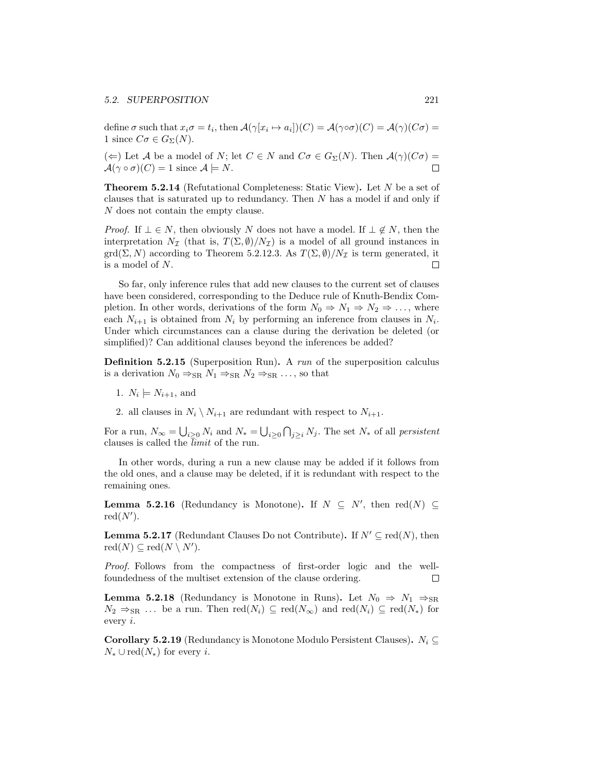define  $\sigma$  such that  $x_i\sigma = t_i$ , then  $\mathcal{A}(\gamma[x_i \mapsto a_i])(C) = \mathcal{A}(\gamma) \circ \sigma(C) = \mathcal{A}(\gamma)(C\sigma) =$ 1 since  $C\sigma \in G_{\Sigma}(N)$ .

 $(\Leftarrow)$  Let A be a model of N; let  $C \in N$  and  $C\sigma \in G_{\Sigma}(N)$ . Then  $\mathcal{A}(\gamma)(C\sigma) =$  $\mathcal{A}(\gamma \circ \sigma)(C) = 1$  since  $\mathcal{A} \models N$ .  $\Box$ 

Theorem 5.2.14 (Refutational Completeness: Static View). Let N be a set of clauses that is saturated up to redundancy. Then N has a model if and only if N does not contain the empty clause.

*Proof.* If  $\bot \in N$ , then obviously N does not have a model. If  $\bot \notin N$ , then the interpretation  $N_{\mathcal{I}}$  (that is,  $T(\Sigma, \emptyset)/N_{\mathcal{I}}$ ) is a model of all ground instances in  $\text{grd}(\Sigma, N)$  according to Theorem 5.2.12.3. As  $T(\Sigma, \emptyset)/N_{\mathcal{I}}$  is term generated, it is a model of N.  $\Box$ 

So far, only inference rules that add new clauses to the current set of clauses have been considered, corresponding to the Deduce rule of Knuth-Bendix Completion. In other words, derivations of the form  $N_0 \Rightarrow N_1 \Rightarrow N_2 \Rightarrow \dots$ , where each  $N_{i+1}$  is obtained from  $N_i$  by performing an inference from clauses in  $N_i$ . Under which circumstances can a clause during the derivation be deleted (or simplified)? Can additional clauses beyond the inferences be added?

**Definition 5.2.15** (Superposition Run). A run of the superposition calculus is a derivation  $N_0 \Rightarrow_{\text{SR}} N_1 \Rightarrow_{\text{SR}} N_2 \Rightarrow_{\text{SR}} \dots$ , so that

- 1.  $N_i \models N_{i+1}$ , and
- 2. all clauses in  $N_i \setminus N_{i+1}$  are redundant with respect to  $N_{i+1}$ .

For a run,  $N_{\infty} = \bigcup_{i \geq 0} N_i$  and  $N_* = \bigcup_{i \geq 0} \bigcap_{j \geq i} N_j$ . The set  $N_*$  of all *persistent* clauses is called the  $\overline{limit}$  of the run.

In other words, during a run a new clause may be added if it follows from the old ones, and a clause may be deleted, if it is redundant with respect to the remaining ones.

**Lemma 5.2.16** (Redundancy is Monotone). If  $N \subseteq N'$ , then red(N)  $\subseteq$  $red(N')$ .

**Lemma 5.2.17** (Redundant Clauses Do not Contribute). If  $N' \subseteq \text{red}(N)$ , then  $\mathrm{red}(N) \subseteq \mathrm{red}(N \setminus N').$ 

Proof. Follows from the compactness of first-order logic and the wellfoundedness of the multiset extension of the clause ordering.  $\Box$ 

**Lemma 5.2.18** (Redundancy is Monotone in Runs). Let  $N_0 \Rightarrow N_1 \Rightarrow_{SR}$  $N_2 \Rightarrow_{\text{SR}} \ldots$  be a run. Then  $\text{red}(N_i) \subseteq \text{red}(N_{\infty})$  and  $\text{red}(N_i) \subseteq \text{red}(N_*)$  for every i.

**Corollary 5.2.19** (Redundancy is Monotone Modulo Persistent Clauses).  $N_i \subseteq$  $N_* \cup \text{red}(N_*)$  for every *i*.